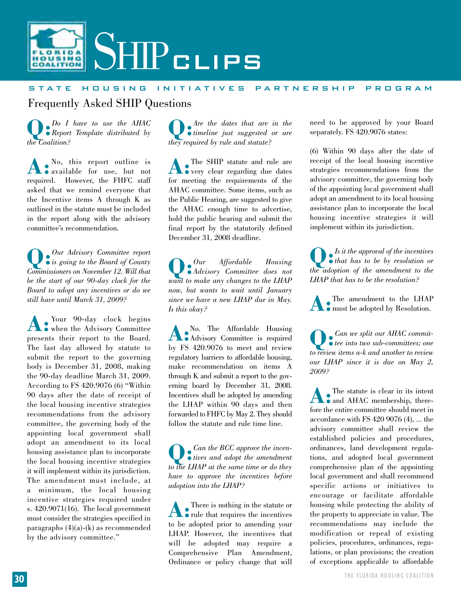

## state housing initiatives partnership program

Frequently Asked SHIP Questions

**Q:***Do I have to use the AHAC Report Template distributed by the Coalition?*

**A:**No, this report outline is available for use, but not required. However, the FHFC staff asked that we remind everyone that the Incentive items A through K as outlined in the statute must be included in the report along with the advisory committee's recommendation.

**Q:***Our Advisory Committee report is going to the Board of County Commissioners on November 12. Will that be the start of our 90-day clock for the Board to adopt any incentives or do we still have until March 31, 2009?*

**A:**Your 90-day clock begins when the Advisory Committee presents their report to the Board. The last day allowed by statute to submit the report to the governing body is December 31, 2008, making the 90-day deadline March 31, 2009. According to FS 420.9076 (6) "Within 90 days after the date of receipt of the local housing incentive strategies recommendations from the advisory committee, the governing body of the appointing local government shall adopt an amendment to its local housing assistance plan to incorporate the local housing incentive strategies it will implement within its jurisdiction. The amendment must include, at a minimum, the local housing incentive strategies required under s. 420.9071(16). The local government must consider the strategies specified in paragraphs (4)(a)-(k) as recommended by the advisory committee."

**Q:***Are the dates that are in the timeline just suggested or are they required by rule and statute?*

**A**: The SHIP statute and rule are very clear regarding due dates for meeting the requirements of the AHAC committee. Some items, such as the Public Hearing, are suggested to give the AHAC enough time to advertise, hold the public hearing and submit the final report by the statutorily defined December 31, 2008 deadline.

**Q:***Our Affordable Housing Advisory Committee does not want to make any changes to the LHAP now, but wants to wait until January since we have a new LHAP due in May. Is this okay?*

**A:** No. The Affordable Housing Advisory Committee is required by FS 420.9076 to meet and review regulatory barriers to affordable housing, make recommendation on items A through K and submit a report to the governing board by December 31, 2008. Incentives shall be adopted by amending the LHAP within 90 days and then forwarded to FHFC by May 2. They should follow the statute and rule time line.

**Q:***Can the BCC approve the incen-tives and adopt the amendment to the LHAP at the same time or do they have to approve the incentives before adoption into the LHAP?*

**A**: There is nothing in the statute or to be adopted prior to amending your LHAP. However, the incentives that will be adopted may require a Comprehensive Plan Amendment, Ordinance or policy change that will

need to be approved by your Board separately. FS 420.9076 states:

(6) Within 90 days after the date of receipt of the local housing incentive strategies recommendations from the advisory committee, the governing body of the appointing local government shall adopt an amendment to its local housing assistance plan to incorporate the local housing incentive strategies it will implement within its jurisdiction.

**Q:***Is it the approval of the incentives that has to be by resolution or the adoption of the amendment to the LHAP that has to be the resolution?*

**A**: The amendment to the LHAP must be adopted by Resolution.

**Q:***Can we split our AHAC commit-tee into two sub-committees; one to review items a-k and another to review our LHAP since it is due on May 2, 2009?* 

**A**: The statute is clear in its intent fore the entire committee should meet in accordance with FS 420 9076 (4), ... the advisory committee shall review the established policies and procedures, ordinances, land development regulations, and adopted local government comprehensive plan of the appointing local government and shall recommend specific actions or initiatives to encourage or facilitate affordable housing while protecting the ability of the property to appreciate in value. The recommendations may include the modification or repeal of existing policies, procedures, ordinances, regulations, or plan provisions; the creation of exceptions applicable to affordable